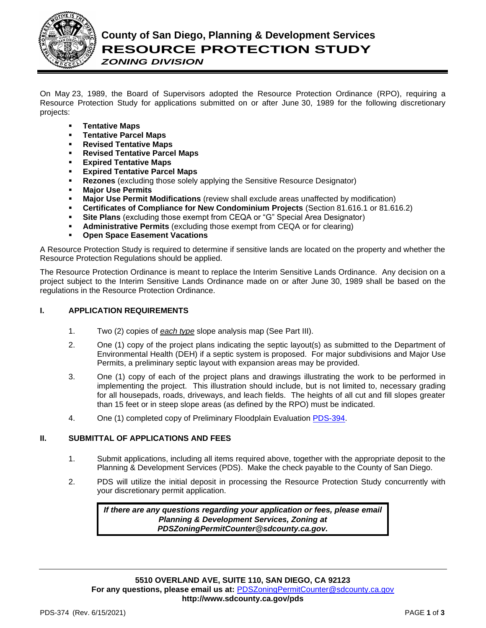

*ZONING DIVISION*

On May 23, 1989, the Board of Supervisors adopted the Resource Protection Ordinance (RPO), requiring a Resource Protection Study for applications submitted on or after June 30, 1989 for the following discretionary projects:

- **Tentative Maps**
- **Tentative Parcel Maps**
- **Revised Tentative Maps**
- **Revised Tentative Parcel Maps**
- **Expired Tentative Maps**
- **Expired Tentative Parcel Maps**
- **Rezones** (excluding those solely applying the Sensitive Resource Designator)
- **Major Use Permits**
- **Major Use Permit Modifications** (review shall exclude areas unaffected by modification)
- **Certificates of Compliance for New Condominium Projects** (Section 81.616.1 or 81.616.2)
- **Site Plans** (excluding those exempt from CEQA or "G" Special Area Designator)
- **Administrative Permits** (excluding those exempt from CEQA or for clearing)
- **Open Space Easement Vacations**

A Resource Protection Study is required to determine if sensitive lands are located on the property and whether the Resource Protection Regulations should be applied.

The Resource Protection Ordinance is meant to replace the Interim Sensitive Lands Ordinance. Any decision on a project subject to the Interim Sensitive Lands Ordinance made on or after June 30, 1989 shall be based on the regulations in the Resource Protection Ordinance.

## **I. APPLICATION REQUIREMENTS**

- 1. Two (2) copies of *each type* slope analysis map (See Part III).
- 2. One (1) copy of the project plans indicating the septic layout(s) as submitted to the Department of Environmental Health (DEH) if a septic system is proposed. For major subdivisions and Major Use Permits, a preliminary septic layout with expansion areas may be provided.
- 3. One (1) copy of each of the project plans and drawings illustrating the work to be performed in implementing the project. This illustration should include, but is not limited to, necessary grading for all housepads, roads, driveways, and leach fields. The heights of all cut and fill slopes greater than 15 feet or in steep slope areas (as defined by the RPO) must be indicated.
- 4. One (1) completed copy of Preliminary Floodplain Evaluation [PDS-394.](http://www.sdcounty.ca.gov/pds/zoning/formfields/PDS-PLN-394.pdf)

## **II. SUBMITTAL OF APPLICATIONS AND FEES**

- 1. Submit applications, including all items required above, together with the appropriate deposit to the Planning & Development Services (PDS). Make the check payable to the County of San Diego.
- 2. PDS will utilize the initial deposit in processing the Resource Protection Study concurrently with your discretionary permit application.

*If there are any questions regarding your application or fees, please email Planning & Development Services, Zoning at [PDSZoningPermitCounter@sdcounty.ca.gov.](mailto:PDSZoningPermitCounter@sdcounty.ca.gov)*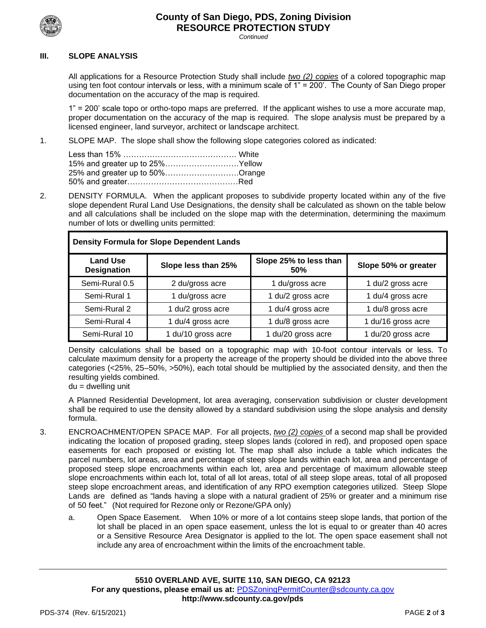

# **County of San Diego, PDS, Zoning Division RESOURCE PROTECTION STUDY**

*Continued*

#### **III. SLOPE ANALYSIS**

All applications for a Resource Protection Study shall include *two (2) copies* of a colored topographic map using ten foot contour intervals or less, with a minimum scale of 1" = 200'. The County of San Diego proper documentation on the accuracy of the map is required.

1" = 200' scale topo or ortho-topo maps are preferred. If the applicant wishes to use a more accurate map, proper documentation on the accuracy of the map is required. The slope analysis must be prepared by a licensed engineer, land surveyor, architect or landscape architect.

1. SLOPE MAP. The slope shall show the following slope categories colored as indicated:

| 15% and greater up to 25%Yellow |  |
|---------------------------------|--|
| 25% and greater up to 50%Orange |  |
|                                 |  |

2. DENSITY FORMULA. When the applicant proposes to subdivide property located within any of the five slope dependent Rural Land Use Designations, the density shall be calculated as shown on the table below and all calculations shall be included on the slope map with the determination, determining the maximum number of lots or dwelling units permitted:

| <b>Density Formula for Slope Dependent Lands</b> |                     |                                      |                      |
|--------------------------------------------------|---------------------|--------------------------------------|----------------------|
| <b>Land Use</b><br><b>Designation</b>            | Slope less than 25% | Slope 25% to less than<br><b>50%</b> | Slope 50% or greater |
| Semi-Rural 0.5                                   | 2 du/gross acre     | 1 du/gross acre                      | 1 du/2 gross acre    |
| Semi-Rural 1                                     | 1 du/gross acre     | 1 du/2 gross acre                    | 1 du/4 gross acre    |
| Semi-Rural 2                                     | 1 du/2 gross acre   | 1 du/4 gross acre                    | 1 du/8 gross acre    |
| Semi-Rural 4                                     | 1 du/4 gross acre   | 1 du/8 gross acre                    | 1 du/16 gross acre   |
| Semi-Rural 10                                    | 1 du/10 gross acre  | 1 du/20 gross acre                   | 1 du/20 gross acre   |

Density calculations shall be based on a topographic map with 10-foot contour intervals or less. To calculate maximum density for a property the acreage of the property should be divided into the above three categories (<25%, 25–50%, >50%), each total should be multiplied by the associated density, and then the resulting yields combined.

 $du =$  dwelling unit

A Planned Residential Development, lot area averaging, conservation subdivision or cluster development shall be required to use the density allowed by a standard subdivision using the slope analysis and density formula.

- 3. ENCROACHMENT/OPEN SPACE MAP. For all projects, *two (2) copies* of a second map shall be provided indicating the location of proposed grading, steep slopes lands (colored in red), and proposed open space easements for each proposed or existing lot. The map shall also include a table which indicates the parcel numbers, lot areas, area and percentage of steep slope lands within each lot, area and percentage of proposed steep slope encroachments within each lot, area and percentage of maximum allowable steep slope encroachments within each lot, total of all lot areas, total of all steep slope areas, total of all proposed steep slope encroachment areas, and identification of any RPO exemption categories utilized. Steep Slope Lands are defined as "lands having a slope with a natural gradient of 25% or greater and a minimum rise of 50 feet." (Not required for Rezone only or Rezone/GPA only)
	- a. Open Space Easement. When 10% or more of a lot contains steep slope lands, that portion of the lot shall be placed in an open space easement, unless the lot is equal to or greater than 40 acres or a Sensitive Resource Area Designator is applied to the lot. The open space easement shall not include any area of encroachment within the limits of the encroachment table.